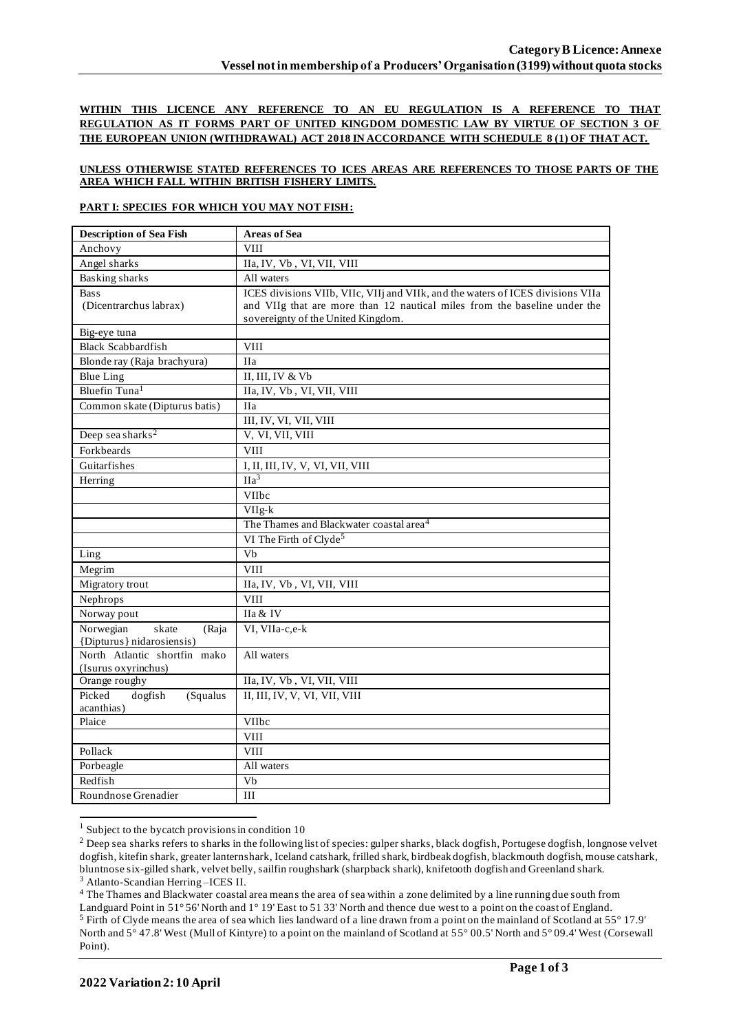**WITHIN THIS LICENCE ANY REFERENCE TO AN EU REGULATION IS A REFERENCE TO THAT REGULATION AS IT FORMS PART OF UNITED KINGDOM DOMESTIC LAW BY VIRTUE OF SECTION 3 OF THE EUROPEAN UNION (WITHDRAWAL) ACT 2018 IN ACCORDANCE WITH SCHEDULE 8 (1) OF THAT ACT.**

## **UNLESS OTHERWISE STATED REFERENCES TO ICES AREAS ARE REFERENCES TO THOSE PARTS OF THE AREA WHICH FALL WITHIN BRITISH FISHERY LIMITS.**

## **PART I: SPECIES FOR WHICH YOU MAY NOT FISH:**

| Anchovy<br><b>VIII</b><br>Angel sharks<br>IIa, IV, Vb, VI, VII, VIII<br><b>Basking sharks</b><br>All waters<br>ICES divisions VIIb, VIIc, VIIj and VIIk, and the waters of ICES divisions VIIa<br><b>Bass</b><br>(Dicentrarchus labrax)<br>and VIIg that are more than 12 nautical miles from the baseline under the<br>sovereignty of the United Kingdom.<br>Big-eye tuna<br><b>Black Scabbardfish</b><br><b>VIII</b><br>Blonde ray (Raja brachyura)<br><b>IIa</b><br>II, III, IV & Vb<br><b>Blue Ling</b><br>Bluefin Tuna <sup>1</sup><br>IIa, IV, Vb, VI, VII, VIII<br>Common skate (Dipturus batis)<br><b>IIa</b><br>III, IV, VI, VII, VIII<br>Deep sea sharks <sup>2</sup><br>V, VI, VII, VIII<br>Forkbeards<br><b>VIII</b><br>Guitarfishes<br>I, II, III, IV, V, VI, VII, VIII<br>$\overline{Ha^3}$<br>Herring<br>VIIbc<br>VIIg-k<br>The Thames and Blackwater coastal area <sup>4</sup><br>VI The Firth of Clyde <sup>5</sup><br>$\overline{Vb}$<br>Ling<br>Megrim<br><b>VIII</b><br>Migratory trout<br>IIa, IV, Vb, VI, VII, VIII<br><b>VIII</b><br>Nephrops<br>Norway pout<br>IIa & IV<br>Norwegian<br>skate<br>VI, VIIa-c,e-k<br>(Raja<br>{Dipturus} nidarosiensis)<br>North Atlantic shortfin mako<br>All waters<br>(Isurus oxyrinchus)<br>IIa, IV, Vb, VI, VII, VIII<br>Orange roughy<br>II, III, IV, V, VI, VII, VIII<br>Picked<br>dogfish<br>(Squalus<br>acanthias)<br>Plaice<br>VIIbc<br><b>VIII</b><br>Pollack<br><b>VIII</b><br>Porbeagle<br>All waters | <b>Description of Sea Fish</b> | <b>Areas of Sea</b> |
|--------------------------------------------------------------------------------------------------------------------------------------------------------------------------------------------------------------------------------------------------------------------------------------------------------------------------------------------------------------------------------------------------------------------------------------------------------------------------------------------------------------------------------------------------------------------------------------------------------------------------------------------------------------------------------------------------------------------------------------------------------------------------------------------------------------------------------------------------------------------------------------------------------------------------------------------------------------------------------------------------------------------------------------------------------------------------------------------------------------------------------------------------------------------------------------------------------------------------------------------------------------------------------------------------------------------------------------------------------------------------------------------------------------------------------------------------------------------------|--------------------------------|---------------------|
|                                                                                                                                                                                                                                                                                                                                                                                                                                                                                                                                                                                                                                                                                                                                                                                                                                                                                                                                                                                                                                                                                                                                                                                                                                                                                                                                                                                                                                                                          |                                |                     |
|                                                                                                                                                                                                                                                                                                                                                                                                                                                                                                                                                                                                                                                                                                                                                                                                                                                                                                                                                                                                                                                                                                                                                                                                                                                                                                                                                                                                                                                                          |                                |                     |
|                                                                                                                                                                                                                                                                                                                                                                                                                                                                                                                                                                                                                                                                                                                                                                                                                                                                                                                                                                                                                                                                                                                                                                                                                                                                                                                                                                                                                                                                          |                                |                     |
|                                                                                                                                                                                                                                                                                                                                                                                                                                                                                                                                                                                                                                                                                                                                                                                                                                                                                                                                                                                                                                                                                                                                                                                                                                                                                                                                                                                                                                                                          |                                |                     |
|                                                                                                                                                                                                                                                                                                                                                                                                                                                                                                                                                                                                                                                                                                                                                                                                                                                                                                                                                                                                                                                                                                                                                                                                                                                                                                                                                                                                                                                                          |                                |                     |
|                                                                                                                                                                                                                                                                                                                                                                                                                                                                                                                                                                                                                                                                                                                                                                                                                                                                                                                                                                                                                                                                                                                                                                                                                                                                                                                                                                                                                                                                          |                                |                     |
|                                                                                                                                                                                                                                                                                                                                                                                                                                                                                                                                                                                                                                                                                                                                                                                                                                                                                                                                                                                                                                                                                                                                                                                                                                                                                                                                                                                                                                                                          |                                |                     |
|                                                                                                                                                                                                                                                                                                                                                                                                                                                                                                                                                                                                                                                                                                                                                                                                                                                                                                                                                                                                                                                                                                                                                                                                                                                                                                                                                                                                                                                                          |                                |                     |
|                                                                                                                                                                                                                                                                                                                                                                                                                                                                                                                                                                                                                                                                                                                                                                                                                                                                                                                                                                                                                                                                                                                                                                                                                                                                                                                                                                                                                                                                          |                                |                     |
|                                                                                                                                                                                                                                                                                                                                                                                                                                                                                                                                                                                                                                                                                                                                                                                                                                                                                                                                                                                                                                                                                                                                                                                                                                                                                                                                                                                                                                                                          |                                |                     |
|                                                                                                                                                                                                                                                                                                                                                                                                                                                                                                                                                                                                                                                                                                                                                                                                                                                                                                                                                                                                                                                                                                                                                                                                                                                                                                                                                                                                                                                                          |                                |                     |
|                                                                                                                                                                                                                                                                                                                                                                                                                                                                                                                                                                                                                                                                                                                                                                                                                                                                                                                                                                                                                                                                                                                                                                                                                                                                                                                                                                                                                                                                          |                                |                     |
|                                                                                                                                                                                                                                                                                                                                                                                                                                                                                                                                                                                                                                                                                                                                                                                                                                                                                                                                                                                                                                                                                                                                                                                                                                                                                                                                                                                                                                                                          |                                |                     |
|                                                                                                                                                                                                                                                                                                                                                                                                                                                                                                                                                                                                                                                                                                                                                                                                                                                                                                                                                                                                                                                                                                                                                                                                                                                                                                                                                                                                                                                                          |                                |                     |
|                                                                                                                                                                                                                                                                                                                                                                                                                                                                                                                                                                                                                                                                                                                                                                                                                                                                                                                                                                                                                                                                                                                                                                                                                                                                                                                                                                                                                                                                          |                                |                     |
|                                                                                                                                                                                                                                                                                                                                                                                                                                                                                                                                                                                                                                                                                                                                                                                                                                                                                                                                                                                                                                                                                                                                                                                                                                                                                                                                                                                                                                                                          |                                |                     |
|                                                                                                                                                                                                                                                                                                                                                                                                                                                                                                                                                                                                                                                                                                                                                                                                                                                                                                                                                                                                                                                                                                                                                                                                                                                                                                                                                                                                                                                                          |                                |                     |
|                                                                                                                                                                                                                                                                                                                                                                                                                                                                                                                                                                                                                                                                                                                                                                                                                                                                                                                                                                                                                                                                                                                                                                                                                                                                                                                                                                                                                                                                          |                                |                     |
|                                                                                                                                                                                                                                                                                                                                                                                                                                                                                                                                                                                                                                                                                                                                                                                                                                                                                                                                                                                                                                                                                                                                                                                                                                                                                                                                                                                                                                                                          |                                |                     |
|                                                                                                                                                                                                                                                                                                                                                                                                                                                                                                                                                                                                                                                                                                                                                                                                                                                                                                                                                                                                                                                                                                                                                                                                                                                                                                                                                                                                                                                                          |                                |                     |
|                                                                                                                                                                                                                                                                                                                                                                                                                                                                                                                                                                                                                                                                                                                                                                                                                                                                                                                                                                                                                                                                                                                                                                                                                                                                                                                                                                                                                                                                          |                                |                     |
|                                                                                                                                                                                                                                                                                                                                                                                                                                                                                                                                                                                                                                                                                                                                                                                                                                                                                                                                                                                                                                                                                                                                                                                                                                                                                                                                                                                                                                                                          |                                |                     |
|                                                                                                                                                                                                                                                                                                                                                                                                                                                                                                                                                                                                                                                                                                                                                                                                                                                                                                                                                                                                                                                                                                                                                                                                                                                                                                                                                                                                                                                                          |                                |                     |
|                                                                                                                                                                                                                                                                                                                                                                                                                                                                                                                                                                                                                                                                                                                                                                                                                                                                                                                                                                                                                                                                                                                                                                                                                                                                                                                                                                                                                                                                          |                                |                     |
|                                                                                                                                                                                                                                                                                                                                                                                                                                                                                                                                                                                                                                                                                                                                                                                                                                                                                                                                                                                                                                                                                                                                                                                                                                                                                                                                                                                                                                                                          |                                |                     |
|                                                                                                                                                                                                                                                                                                                                                                                                                                                                                                                                                                                                                                                                                                                                                                                                                                                                                                                                                                                                                                                                                                                                                                                                                                                                                                                                                                                                                                                                          |                                |                     |
|                                                                                                                                                                                                                                                                                                                                                                                                                                                                                                                                                                                                                                                                                                                                                                                                                                                                                                                                                                                                                                                                                                                                                                                                                                                                                                                                                                                                                                                                          |                                |                     |
|                                                                                                                                                                                                                                                                                                                                                                                                                                                                                                                                                                                                                                                                                                                                                                                                                                                                                                                                                                                                                                                                                                                                                                                                                                                                                                                                                                                                                                                                          |                                |                     |
|                                                                                                                                                                                                                                                                                                                                                                                                                                                                                                                                                                                                                                                                                                                                                                                                                                                                                                                                                                                                                                                                                                                                                                                                                                                                                                                                                                                                                                                                          |                                |                     |
|                                                                                                                                                                                                                                                                                                                                                                                                                                                                                                                                                                                                                                                                                                                                                                                                                                                                                                                                                                                                                                                                                                                                                                                                                                                                                                                                                                                                                                                                          |                                |                     |
|                                                                                                                                                                                                                                                                                                                                                                                                                                                                                                                                                                                                                                                                                                                                                                                                                                                                                                                                                                                                                                                                                                                                                                                                                                                                                                                                                                                                                                                                          |                                |                     |
|                                                                                                                                                                                                                                                                                                                                                                                                                                                                                                                                                                                                                                                                                                                                                                                                                                                                                                                                                                                                                                                                                                                                                                                                                                                                                                                                                                                                                                                                          |                                |                     |
|                                                                                                                                                                                                                                                                                                                                                                                                                                                                                                                                                                                                                                                                                                                                                                                                                                                                                                                                                                                                                                                                                                                                                                                                                                                                                                                                                                                                                                                                          |                                |                     |
|                                                                                                                                                                                                                                                                                                                                                                                                                                                                                                                                                                                                                                                                                                                                                                                                                                                                                                                                                                                                                                                                                                                                                                                                                                                                                                                                                                                                                                                                          |                                |                     |
|                                                                                                                                                                                                                                                                                                                                                                                                                                                                                                                                                                                                                                                                                                                                                                                                                                                                                                                                                                                                                                                                                                                                                                                                                                                                                                                                                                                                                                                                          |                                |                     |
|                                                                                                                                                                                                                                                                                                                                                                                                                                                                                                                                                                                                                                                                                                                                                                                                                                                                                                                                                                                                                                                                                                                                                                                                                                                                                                                                                                                                                                                                          |                                |                     |
|                                                                                                                                                                                                                                                                                                                                                                                                                                                                                                                                                                                                                                                                                                                                                                                                                                                                                                                                                                                                                                                                                                                                                                                                                                                                                                                                                                                                                                                                          | Redfish                        | Vb                  |
| Roundnose Grenadier<br>III                                                                                                                                                                                                                                                                                                                                                                                                                                                                                                                                                                                                                                                                                                                                                                                                                                                                                                                                                                                                                                                                                                                                                                                                                                                                                                                                                                                                                                               |                                |                     |

 $1$  Subject to the bycatch provisions in condition 10

<sup>4</sup> The Thames and Blackwater coastal area means the area of sea within a zone delimited by a line running due south from

<sup>&</sup>lt;sup>2</sup> Deep sea sharks refers to sharks in the following list of species: gulper sharks, black dogfish, Portugese dogfish, longnose velvet dogfish, kitefin shark, greater lanternshark, Iceland catshark, frilled shark, birdbeak dogfish, blackmouth dogfish, mouse catshark, bluntnose six-gilled shark, velvet belly, sailfin roughshark (sharpback shark), knifetooth dogfish and Greenland shark. <sup>3</sup> Atlanto-Scandian Herring –ICES II.

Landguard Point in 51° 56' North and 1° 19' East to 51 33' North and thence due west to a point on the coast of England. <sup>5</sup> Firth of Clyde means the area of sea which lies landward of a line drawn from a point on the mainland of Scotland at 55° 17.9' North and 5° 47.8' West (Mull of Kintyre) to a point on the mainland of Scotland at 55° 00.5' North and 5° 09.4' West (Corsewall Point).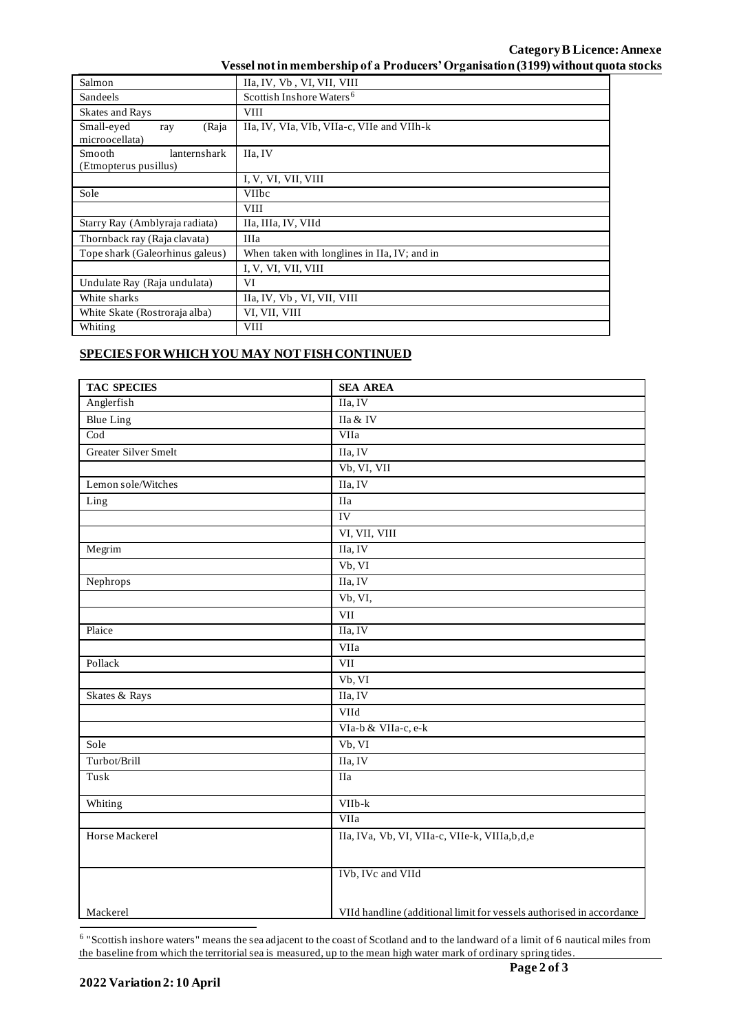| Vessel not in membership of a Producers' Organisation (3199) without quota stocks |  |  |
|-----------------------------------------------------------------------------------|--|--|
|                                                                                   |  |  |

| Salmon                                                 | IIa, IV, Vb, VI, VII, VIII                   |  |
|--------------------------------------------------------|----------------------------------------------|--|
| Sandeels                                               | Scottish Inshore Waters <sup>6</sup>         |  |
| <b>Skates and Rays</b>                                 | <b>VIII</b>                                  |  |
| Small-eyed<br>(Raja<br>ray<br>microocellata)           | IIa, IV, VIa, VIb, VIIa-c, VIIe and VIIh-k   |  |
| lanternshark<br><b>Smooth</b><br>(Etmopterus pusillus) | IIa, IV                                      |  |
|                                                        | I, V, VI, VII, VIII                          |  |
| Sole                                                   | <b>VIIbc</b>                                 |  |
|                                                        | <b>VIII</b>                                  |  |
| Starry Ray (Amblyraja radiata)                         | IIa, IIIa, IV, VIId                          |  |
| Thornback ray (Raja clavata)                           | <b>IIIa</b>                                  |  |
| Tope shark (Galeorhinus galeus)                        | When taken with longlines in IIa, IV; and in |  |
|                                                        | I, V, VI, VII, VIII                          |  |
| Undulate Ray (Raja undulata)                           | VI                                           |  |
| White sharks                                           | IIa, IV, Vb, VI, VII, VIII                   |  |
| White Skate (Rostroraja alba)                          | VI, VII, VIII                                |  |
| Whiting                                                | VIII                                         |  |

## **SPECIES FOR WHICH YOU MAY NOT FISH CONTINUED**

| <b>TAC SPECIES</b>          | <b>SEA AREA</b>                                                      |  |  |
|-----------------------------|----------------------------------------------------------------------|--|--|
| Anglerfish                  | IIa, IV                                                              |  |  |
| <b>Blue Ling</b>            | IIa & IV                                                             |  |  |
| $\overline{\text{Cod}}$     | VIIa                                                                 |  |  |
| <b>Greater Silver Smelt</b> | IIa, IV                                                              |  |  |
|                             | Vb, VI, VII                                                          |  |  |
| Lemon sole/Witches          | IIa, IV                                                              |  |  |
| Ling                        | $\rm I Ia$                                                           |  |  |
|                             | <b>IV</b>                                                            |  |  |
|                             | VI, VII, VIII                                                        |  |  |
| Megrim                      | IIa, IV                                                              |  |  |
|                             | Vb, VI                                                               |  |  |
| Nephrops                    | IIa, IV                                                              |  |  |
|                             | Vb, VI,                                                              |  |  |
|                             | VII                                                                  |  |  |
| Plaice                      | IIa, IV                                                              |  |  |
|                             | VIIa                                                                 |  |  |
| Pollack                     | VII                                                                  |  |  |
|                             | Vb, VI                                                               |  |  |
| Skates & Rays               | IIa, IV                                                              |  |  |
|                             | VIId                                                                 |  |  |
|                             | VIa-b & VIIa-c, e-k                                                  |  |  |
| Sole                        | Vb, VI                                                               |  |  |
| Turbot/Brill                | IIa, IV                                                              |  |  |
| Tusk                        | $\overline{IIa}$                                                     |  |  |
| Whiting                     | VIIb-k                                                               |  |  |
|                             | VIIa                                                                 |  |  |
| Horse Mackerel              | IIa, IVa, Vb, VI, VIIa-c, VIIe-k, VIIIa, b, d, e                     |  |  |
|                             | IVb, IVc and VIId                                                    |  |  |
| Mackerel                    | VIId handline (additional limit for vessels authorised in accordance |  |  |

<sup>&</sup>lt;sup>6</sup> "Scottish inshore waters" means the sea adjacent to the coast of Scotland and to the landward of a limit of 6 nautical miles from the baseline from which the territorial sea is measured, up to the mean high water mark of ordinary spring tides.